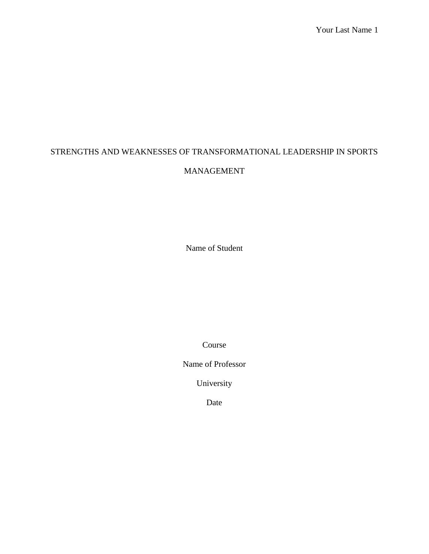# STRENGTHS AND WEAKNESSES OF TRANSFORMATIONAL LEADERSHIP IN SPORTS MANAGEMENT

Name of Student

Course

Name of Professor

University

Date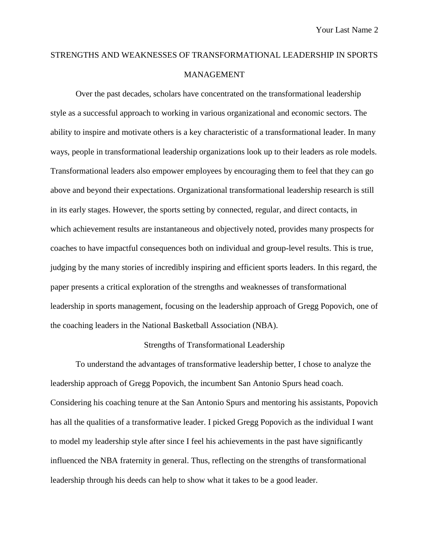## STRENGTHS AND WEAKNESSES OF TRANSFORMATIONAL LEADERSHIP IN SPORTS MANAGEMENT

Over the past decades, scholars have concentrated on the transformational leadership style as a successful approach to working in various organizational and economic sectors. The ability to inspire and motivate others is a key characteristic of a transformational leader. In many ways, people in transformational leadership organizations look up to their leaders as role models. Transformational leaders also empower employees by encouraging them to feel that they can go above and beyond their expectations. Organizational transformational leadership research is still in its early stages. However, the sports setting by connected, regular, and direct contacts, in which achievement results are instantaneous and objectively noted, provides many prospects for coaches to have impactful consequences both on individual and group-level results. This is true, judging by the many stories of incredibly inspiring and efficient sports leaders. In this regard, the paper presents a critical exploration of the strengths and weaknesses of transformational leadership in sports management, focusing on the leadership approach of Gregg Popovich, one of the coaching leaders in the National Basketball Association (NBA).

#### Strengths of Transformational Leadership

To understand the advantages of transformative leadership better, I chose to analyze the leadership approach of Gregg Popovich, the incumbent San Antonio Spurs head coach. Considering his coaching tenure at the San Antonio Spurs and mentoring his assistants, Popovich has all the qualities of a transformative leader. I picked Gregg Popovich as the individual I want to model my leadership style after since I feel his achievements in the past have significantly influenced the NBA fraternity in general. Thus, reflecting on the strengths of transformational leadership through his deeds can help to show what it takes to be a good leader.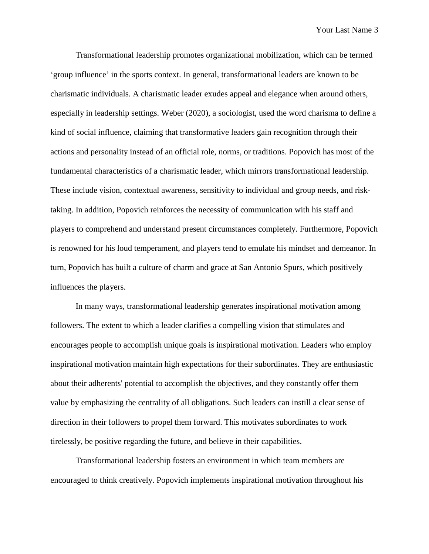Transformational leadership promotes organizational mobilization, which can be termed 'group influence' in the sports context. In general, transformational leaders are known to be charismatic individuals. A charismatic leader exudes appeal and elegance when around others, especially in leadership settings. Weber (2020), a sociologist, used the word charisma to define a kind of social influence, claiming that transformative leaders gain recognition through their actions and personality instead of an official role, norms, or traditions. Popovich has most of the fundamental characteristics of a charismatic leader, which mirrors transformational leadership. These include vision, contextual awareness, sensitivity to individual and group needs, and risktaking. In addition, Popovich reinforces the necessity of communication with his staff and players to comprehend and understand present circumstances completely. Furthermore, Popovich is renowned for his loud temperament, and players tend to emulate his mindset and demeanor. In turn, Popovich has built a culture of charm and grace at San Antonio Spurs, which positively influences the players.

In many ways, transformational leadership generates inspirational motivation among followers. The extent to which a leader clarifies a compelling vision that stimulates and encourages people to accomplish unique goals is inspirational motivation. Leaders who employ inspirational motivation maintain high expectations for their subordinates. They are enthusiastic about their adherents' potential to accomplish the objectives, and they constantly offer them value by emphasizing the centrality of all obligations. Such leaders can instill a clear sense of direction in their followers to propel them forward. This motivates subordinates to work tirelessly, be positive regarding the future, and believe in their capabilities.

Transformational leadership fosters an environment in which team members are encouraged to think creatively. Popovich implements inspirational motivation throughout his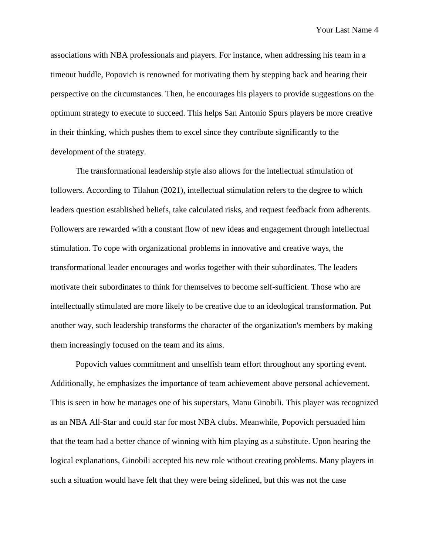associations with NBA professionals and players. For instance, when addressing his team in a timeout huddle, Popovich is renowned for motivating them by stepping back and hearing their perspective on the circumstances. Then, he encourages his players to provide suggestions on the optimum strategy to execute to succeed. This helps San Antonio Spurs players be more creative in their thinking, which pushes them to excel since they contribute significantly to the development of the strategy.

The transformational leadership style also allows for the intellectual stimulation of followers. According to Tilahun (2021), intellectual stimulation refers to the degree to which leaders question established beliefs, take calculated risks, and request feedback from adherents. Followers are rewarded with a constant flow of new ideas and engagement through intellectual stimulation. To cope with organizational problems in innovative and creative ways, the transformational leader encourages and works together with their subordinates. The leaders motivate their subordinates to think for themselves to become self-sufficient. Those who are intellectually stimulated are more likely to be creative due to an ideological transformation. Put another way, such leadership transforms the character of the organization's members by making them increasingly focused on the team and its aims.

Popovich values commitment and unselfish team effort throughout any sporting event. Additionally, he emphasizes the importance of team achievement above personal achievement. This is seen in how he manages one of his superstars, Manu Ginobili. This player was recognized as an NBA All-Star and could star for most NBA clubs. Meanwhile, Popovich persuaded him that the team had a better chance of winning with him playing as a substitute. Upon hearing the logical explanations, Ginobili accepted his new role without creating problems. Many players in such a situation would have felt that they were being sidelined, but this was not the case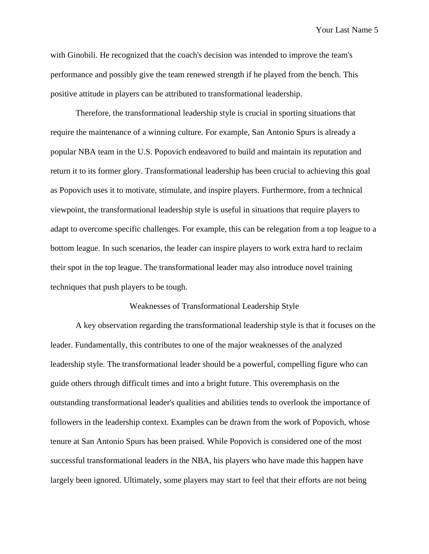with Ginobili. He recognized that the coach's decision was intended to improve the team's performance and possibly give the team renewed strength if he played from the bench. This positive attitude in players can be attributed to transformational leadership.

Therefore, the transformational leadership style is crucial in sporting situations that require the maintenance of a winning culture. For example, San Antonio Spurs is already a popular NBA team in the U.S. Popovich endeavored to build and maintain its reputation and return it to its former glory. Transformational leadership has been crucial to achieving this goal as Popovich uses it to motivate, stimulate, and inspire players. Furthermore, from a technical viewpoint, the transformational leadership style is useful in situations that require players to adapt to overcome specific challenges. For example, this can be relegation from a top league to a bottom league. In such scenarios, the leader can inspire players to work extra hard to reclaim their spot in the top league. The transformational leader may also introduce novel training techniques that push players to be tough.

#### Weaknesses of Transformational Leadership Style

A key observation regarding the transformational leadership style is that it focuses on the leader. Fundamentally, this contributes to one of the major weaknesses of the analyzed leadership style. The transformational leader should be a powerful, compelling figure who can guide others through difficult times and into a bright future. This overemphasis on the outstanding transformational leader's qualities and abilities tends to overlook the importance of followers in the leadership context. Examples can be drawn from the work of Popovich, whose tenure at San Antonio Spurs has been praised. While Popovich is considered one of the most successful transformational leaders in the NBA, his players who have made this happen have largely been ignored. Ultimately, some players may start to feel that their efforts are not being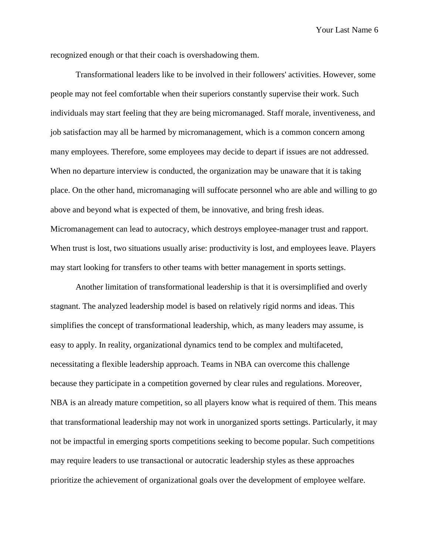recognized enough or that their coach is overshadowing them.

Transformational leaders like to be involved in their followers' activities. However, some people may not feel comfortable when their superiors constantly supervise their work. Such individuals may start feeling that they are being micromanaged. Staff morale, inventiveness, and job satisfaction may all be harmed by micromanagement, which is a common concern among many employees. Therefore, some employees may decide to depart if issues are not addressed. When no departure interview is conducted, the organization may be unaware that it is taking place. On the other hand, micromanaging will suffocate personnel who are able and willing to go above and beyond what is expected of them, be innovative, and bring fresh ideas. Micromanagement can lead to autocracy, which destroys employee-manager trust and rapport. When trust is lost, two situations usually arise: productivity is lost, and employees leave. Players may start looking for transfers to other teams with better management in sports settings.

Another limitation of transformational leadership is that it is oversimplified and overly stagnant. The analyzed leadership model is based on relatively rigid norms and ideas. This simplifies the concept of transformational leadership, which, as many leaders may assume, is easy to apply. In reality, organizational dynamics tend to be complex and multifaceted, necessitating a flexible leadership approach. Teams in NBA can overcome this challenge because they participate in a competition governed by clear rules and regulations. Moreover, NBA is an already mature competition, so all players know what is required of them. This means that transformational leadership may not work in unorganized sports settings. Particularly, it may not be impactful in emerging sports competitions seeking to become popular. Such competitions may require leaders to use transactional or autocratic leadership styles as these approaches prioritize the achievement of organizational goals over the development of employee welfare.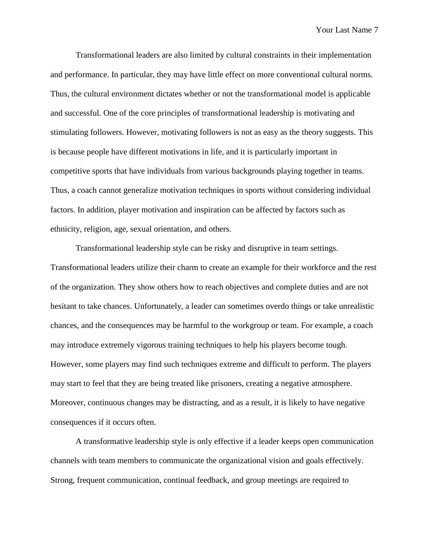Transformational leaders are also limited by cultural constraints in their implementation and performance. In particular, they may have little effect on more conventional cultural norms. Thus, the cultural environment dictates whether or not the transformational model is applicable and successful. One of the core principles of transformational leadership is motivating and stimulating followers. However, motivating followers is not as easy as the theory suggests. This is because people have different motivations in life, and it is particularly important in competitive sports that have individuals from various backgrounds playing together in teams. Thus, a coach cannot generalize motivation techniques in sports without considering individual factors. In addition, player motivation and inspiration can be affected by factors such as ethnicity, religion, age, sexual orientation, and others.

Transformational leadership style can be risky and disruptive in team settings. Transformational leaders utilize their charm to create an example for their workforce and the rest of the organization. They show others how to reach objectives and complete duties and are not hesitant to take chances. Unfortunately, a leader can sometimes overdo things or take unrealistic chances, and the consequences may be harmful to the workgroup or team. For example, a coach may introduce extremely vigorous training techniques to help his players become tough. However, some players may find such techniques extreme and difficult to perform. The players may start to feel that they are being treated like prisoners, creating a negative atmosphere. Moreover, continuous changes may be distracting, and as a result, it is likely to have negative consequences if it occurs often.

A transformative leadership style is only effective if a leader keeps open communication channels with team members to communicate the organizational vision and goals effectively. Strong, frequent communication, continual feedback, and group meetings are required to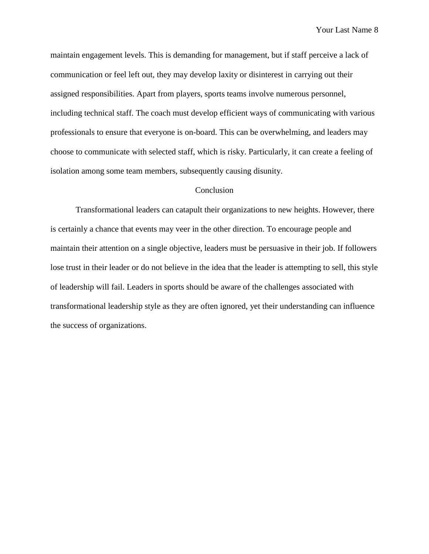maintain engagement levels. This is demanding for management, but if staff perceive a lack of communication or feel left out, they may develop laxity or disinterest in carrying out their assigned responsibilities. Apart from players, sports teams involve numerous personnel, including technical staff. The coach must develop efficient ways of communicating with various professionals to ensure that everyone is on-board. This can be overwhelming, and leaders may choose to communicate with selected staff, which is risky. Particularly, it can create a feeling of isolation among some team members, subsequently causing disunity.

#### Conclusion

Transformational leaders can catapult their organizations to new heights. However, there is certainly a chance that events may veer in the other direction. To encourage people and maintain their attention on a single objective, leaders must be persuasive in their job. If followers lose trust in their leader or do not believe in the idea that the leader is attempting to sell, this style of leadership will fail. Leaders in sports should be aware of the challenges associated with transformational leadership style as they are often ignored, yet their understanding can influence the success of organizations.